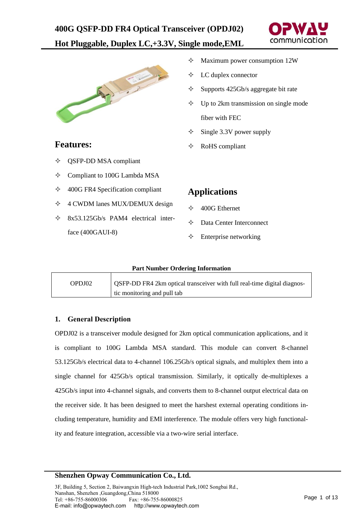



#### $\Diamond$  Maximum power consumption 12W

- $\Diamond$  LC duplex connector
- $\Diamond$  Supports 425Gb/s aggregate bit rate
- $\Diamond$  Up to 2km transmission on single mode fiber with FEC
- $\div$  Single 3.3V power supply
- $\Diamond$  RoHS compliant

### **Features:**

- QSFP-DD MSA compliant
- Compliant to 100G Lambda MSA
- $\div$  400G FR4 Specification compliant
- $\div$  4 CWDM lanes MUX/DEMUX design
- $\div$  8x53.125Gb/s PAM4 electrical interface (400GAUI-8)

# **Applications**

- $\div$  400G Ethernet
- Data Center Interconnect
- $\Diamond$  Enterprise networking

#### **Part Number Ordering Information**

| OPDJ02 | OSFP-DD FR4 2km optical transceiver with full real-time digital diagnos- |
|--------|--------------------------------------------------------------------------|
|        | tic monitoring and pull tab                                              |

#### **1. General Description**

OPDJ02 is a transceiver module designed for 2km optical communication applications, and it is compliant to 100G Lambda MSA standard. This module can convert 8-channel 53.125Gb/s electrical data to 4-channel 106.25Gb/s optical signals, and multiplex them into a single channel for 425Gb/s optical transmission. Similarly, it optically de-multiplexes a 425Gb/s input into 4-channel signals, and converts them to 8-channel output electrical data on the receiver side. It has been designed to meet the harshest external operating conditions including temperature, humidity and EMI interference. The module offers very high functionality and feature integration, accessible via a two-wire serial interface.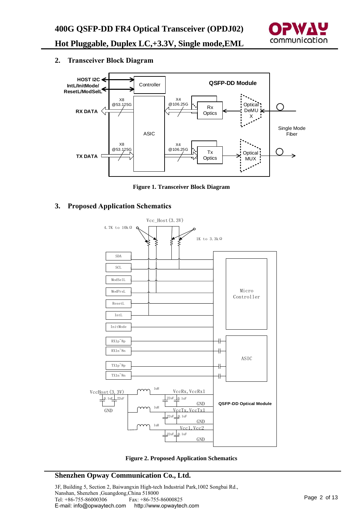

**2. Transceiver Block Diagram**



**Figure 1. Transceiver Block Diagram**

**3. Proposed Application Schematics**



**Figure 2. Proposed Application Schematics**

### **Shenzhen Opway Communication Co., Ltd.**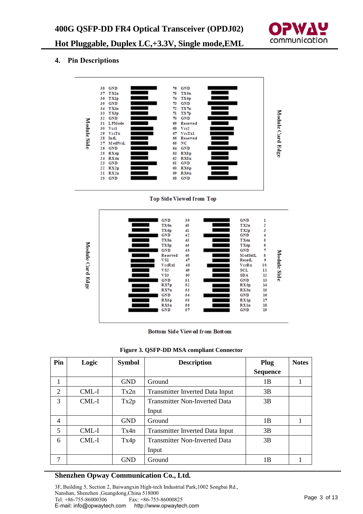

### **4. Pin Descriptions**



Top Side Viewed from Top



Bottom Side Viewed from Bottom

| Pin            | Logic | <b>Symbol</b> | <b>Description</b>                     | Plug            | <b>Notes</b> |
|----------------|-------|---------------|----------------------------------------|-----------------|--------------|
|                |       |               |                                        | <b>Sequence</b> |              |
| 1              |       | <b>GND</b>    | Ground                                 | 1B              |              |
| $\overline{2}$ | CML-I | Tx2n          | <b>Transmitter Inverted Data Input</b> | 3B              |              |
| 3              | CML-I | Tx2p          | <b>Transmitter Non-Inverted Data</b>   | 3B              |              |
|                |       |               | Input                                  |                 |              |
| $\overline{4}$ |       | <b>GND</b>    | Ground                                 | 1B              |              |
| 5              | CML-I | Tx4n          | <b>Transmitter Inverted Data Input</b> | 3B              |              |
| 6              | CML-I | Tx4p          | <b>Transmitter Non-Inverted Data</b>   | 3B              |              |
|                |       |               | Input                                  |                 |              |
| 7              |       | <b>GND</b>    | Ground                                 | 1B              |              |

#### **Figure 3. QSFP-DD MSA compliant Connector**

#### **Shenzhen Opway Communication Co., Ltd.**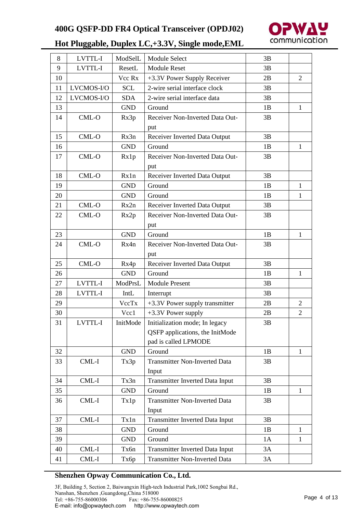

| 8  | LVTTL-I    | ModSelL    | Module Select                          | 3B |                |
|----|------------|------------|----------------------------------------|----|----------------|
| 9  | LVTTL-I    | ResetL     | <b>Module Reset</b>                    | 3B |                |
| 10 |            | Vcc Rx     | +3.3V Power Supply Receiver            | 2B | 2              |
| 11 | LVCMOS-I/O | <b>SCL</b> | 2-wire serial interface clock          | 3B |                |
| 12 | LVCMOS-I/O | <b>SDA</b> | 2-wire serial interface data           | 3B |                |
| 13 |            | <b>GND</b> | Ground                                 | 1B | 1              |
| 14 | CML-O      | Rx3p       | Receiver Non-Inverted Data Out-        | 3B |                |
|    |            |            | put                                    |    |                |
| 15 | CML-O      | Rx3n       | Receiver Inverted Data Output          | 3B |                |
| 16 |            | <b>GND</b> | Ground                                 | 1B | 1              |
| 17 | $CML-O$    | Rx1p       | Receiver Non-Inverted Data Out-        | 3B |                |
|    |            |            | put                                    |    |                |
| 18 | CML-O      | Rx1n       | Receiver Inverted Data Output          | 3B |                |
| 19 |            | <b>GND</b> | Ground                                 | 1B | $\mathbf{1}$   |
| 20 |            | <b>GND</b> | Ground                                 | 1B | 1              |
| 21 | CML-O      | Rx2n       | Receiver Inverted Data Output          | 3B |                |
| 22 | CML-O      | Rx2p       | Receiver Non-Inverted Data Out-        | 3B |                |
|    |            |            | put                                    |    |                |
| 23 |            | <b>GND</b> | Ground                                 | 1B | 1              |
| 24 | CML-O      | Rx4n       | Receiver Non-Inverted Data Out-        | 3B |                |
|    |            |            | put                                    |    |                |
| 25 | CML-O      | Rx4p       | Receiver Inverted Data Output          | 3B |                |
| 26 |            | <b>GND</b> | Ground                                 | 1B | 1              |
| 27 | LVTTL-I    | ModPrsL    | <b>Module Present</b>                  | 3B |                |
| 28 | LVTTL-I    | IntL       | Interrupt                              | 3B |                |
| 29 |            | VccTx      | +3.3V Power supply transmitter         | 2B | $\overline{2}$ |
| 30 |            | Vcc1       | +3.3V Power supply                     | 2B | $\overline{2}$ |
| 31 | LVTTL-I    | InitMode   | Initialization mode; In legacy         | 3B |                |
|    |            |            | QSFP applications, the InitMode        |    |                |
|    |            |            | pad is called LPMODE                   |    |                |
| 32 |            | <b>GND</b> | Ground                                 | 1B | 1              |
| 33 | CML-I      | Tx3p       | <b>Transmitter Non-Inverted Data</b>   | 3B |                |
|    |            |            | Input                                  |    |                |
| 34 | CML-I      | Tx3n       | <b>Transmitter Inverted Data Input</b> | 3B |                |
| 35 |            | <b>GND</b> | Ground                                 | 1B | $\mathbf{1}$   |
| 36 | CML-I      | Tx1p       | <b>Transmitter Non-Inverted Data</b>   | 3B |                |
|    |            |            | Input                                  |    |                |
| 37 | $CML-I$    | Tx1n       | <b>Transmitter Inverted Data Input</b> | 3B |                |
| 38 |            | <b>GND</b> | Ground                                 | 1B | $\mathbf{1}$   |
| 39 |            | <b>GND</b> | Ground                                 | 1A | 1              |
| 40 | CML-I      | Tx6n       | <b>Transmitter Inverted Data Input</b> | 3A |                |
| 41 | CML-I      | Тхбр       | Transmitter Non-Inverted Data          | 3A |                |

#### **Shenzhen Opway Communication Co., Ltd.**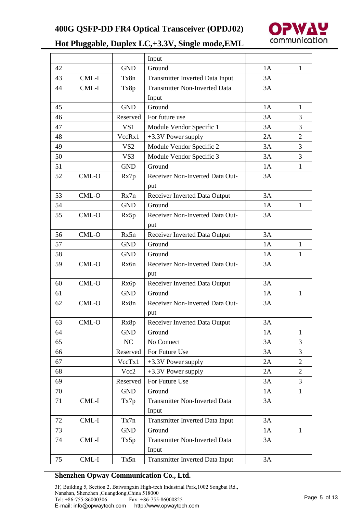

|    |         |                 | Input                                  |    |                |
|----|---------|-----------------|----------------------------------------|----|----------------|
| 42 |         | <b>GND</b>      | Ground                                 | 1A | 1              |
| 43 | CML-I   | Tx8n            | <b>Transmitter Inverted Data Input</b> | 3A |                |
| 44 | CML-I   | Tx8p            | <b>Transmitter Non-Inverted Data</b>   | 3A |                |
|    |         |                 | Input                                  |    |                |
| 45 |         | <b>GND</b>      | Ground                                 | 1A | 1              |
| 46 |         | Reserved        | For future use                         | 3A | 3              |
| 47 |         | VS1             | Module Vendor Specific 1               | 3A | 3              |
| 48 |         | VccRx1          | +3.3V Power supply                     | 2A | $\overline{2}$ |
| 49 |         | VS <sub>2</sub> | Module Vendor Specific 2               | 3A | 3              |
| 50 |         | VS3             | Module Vendor Specific 3               | 3A | 3              |
| 51 |         | <b>GND</b>      | Ground                                 | 1A | 1              |
| 52 | $CML-O$ | Rx7p            | Receiver Non-Inverted Data Out-        | 3A |                |
|    |         |                 | put                                    |    |                |
| 53 | CML-O   | Rx7n            | Receiver Inverted Data Output          | 3A |                |
| 54 |         | <b>GND</b>      | Ground                                 | 1A | $\mathbf{1}$   |
| 55 | CML-O   | Rx5p            | Receiver Non-Inverted Data Out-        | 3A |                |
|    |         |                 | put                                    |    |                |
| 56 | CML-O   | Rx5n            | Receiver Inverted Data Output          | 3A |                |
| 57 |         | <b>GND</b>      | Ground                                 | 1A | 1              |
| 58 |         | <b>GND</b>      | Ground                                 | 1A | 1              |
| 59 | CML-O   | Rx6n            | Receiver Non-Inverted Data Out-        | 3A |                |
|    |         |                 | put                                    |    |                |
| 60 | CML-O   | Rx6p            | Receiver Inverted Data Output          | 3A |                |
| 61 |         | <b>GND</b>      | Ground                                 | 1A | $\mathbf{1}$   |
| 62 | CML-O   | Rx8n            | Receiver Non-Inverted Data Out-        | 3A |                |
|    |         |                 | put                                    |    |                |
| 63 | CML-O   | Rx8p            | Receiver Inverted Data Output          | 3A |                |
| 64 |         | <b>GND</b>      | Ground                                 | 1A | 1              |
| 65 |         | NC              | No Connect                             | 3A | 3              |
| 66 |         | Reserved        | For Future Use                         | 3A | 3              |
| 67 |         | VccTx1          | +3.3V Power supply                     | 2A | $\overline{2}$ |
| 68 |         | Vcc2            | +3.3V Power supply                     | 2A | $\overline{2}$ |
| 69 |         | Reserved        | For Future Use                         | 3A | 3              |
| 70 |         | <b>GND</b>      | Ground                                 | 1A | $\mathbf{1}$   |
| 71 | CML-I   | Tx7p            | <b>Transmitter Non-Inverted Data</b>   | 3A |                |
|    |         |                 | Input                                  |    |                |
| 72 | CML-I   | Tx7n            | <b>Transmitter Inverted Data Input</b> | 3A |                |
| 73 |         | <b>GND</b>      | Ground                                 | 1A | $\mathbf{1}$   |
| 74 | CML-I   | Tx5p            | <b>Transmitter Non-Inverted Data</b>   | 3A |                |
|    |         |                 | Input                                  |    |                |
| 75 | CML-I   | Tx5n            | <b>Transmitter Inverted Data Input</b> | 3A |                |

### **Shenzhen Opway Communication Co., Ltd.**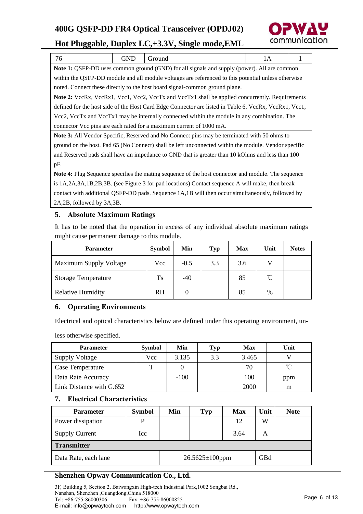

| 76                                                                                                        |                                                                                                 | <b>GND</b> | Ground                                                                                                 | 1A |  |  |  |
|-----------------------------------------------------------------------------------------------------------|-------------------------------------------------------------------------------------------------|------------|--------------------------------------------------------------------------------------------------------|----|--|--|--|
|                                                                                                           |                                                                                                 |            | Note 1: QSFP-DD uses common ground (GND) for all signals and supply (power). All are common            |    |  |  |  |
|                                                                                                           |                                                                                                 |            | within the QSFP-DD module and all module voltages are referenced to this potential unless otherwise    |    |  |  |  |
|                                                                                                           |                                                                                                 |            | noted. Connect these directly to the host board signal-common ground plane.                            |    |  |  |  |
|                                                                                                           |                                                                                                 |            | <b>Note 2:</b> VccRx, VccRx1, Vcc1, Vcc2, VccTx and VccTx1 shall be applied concurrently. Requirements |    |  |  |  |
|                                                                                                           |                                                                                                 |            | defined for the host side of the Host Card Edge Connector are listed in Table 6. VccRx, VccRx1, Vcc1,  |    |  |  |  |
|                                                                                                           |                                                                                                 |            | Vcc2, VccTx and VccTx1 may be internally connected within the module in any combination. The           |    |  |  |  |
|                                                                                                           |                                                                                                 |            | connector Vcc pins are each rated for a maximum current of 1000 mA.                                    |    |  |  |  |
|                                                                                                           |                                                                                                 |            | <b>Note 3:</b> All Vendor Specific, Reserved and No Connect pins may be terminated with 50 ohms to     |    |  |  |  |
|                                                                                                           |                                                                                                 |            | ground on the host. Pad 65 (No Connect) shall be left unconnected within the module. Vendor specific   |    |  |  |  |
| and Reserved pads shall have an impedance to GND that is greater than 10 kOhms and less than 100          |                                                                                                 |            |                                                                                                        |    |  |  |  |
| pF.                                                                                                       |                                                                                                 |            |                                                                                                        |    |  |  |  |
| <b>Note 4:</b> Plug Sequence specifies the mating sequence of the host connector and module. The sequence |                                                                                                 |            |                                                                                                        |    |  |  |  |
|                                                                                                           | is 1A,2A,3A,1B,2B,3B. (see Figure 3 for pad locations) Contact sequence A will make, then break |            |                                                                                                        |    |  |  |  |
| contact with additional QSFP-DD pads. Sequence 1A,1B will then occur simultaneously, followed by          |                                                                                                 |            |                                                                                                        |    |  |  |  |
|                                                                                                           | 2A, 2B, followed by 3A, 3B.                                                                     |            |                                                                                                        |    |  |  |  |

### **5. Absolute Maximum Ratings**

It has to be noted that the operation in excess of any individual absolute maximum ratings might cause permanent damage to this module.

| <b>Parameter</b>           | <b>Symbol</b> | Min    | <b>Typ</b> | <b>Max</b> | Unit         | <b>Notes</b> |
|----------------------------|---------------|--------|------------|------------|--------------|--------------|
| Maximum Supply Voltage     | Vcc           | $-0.5$ | 3.3        | 3.6        |              |              |
| <b>Storage Temperature</b> | Ts            | $-40$  |            | 85         | $^{\circ}$ C |              |
| <b>Relative Humidity</b>   | RH            |        |            | 85         | $\%$         |              |

## **6. Operating Environments**

Electrical and optical characteristics below are defined under this operating environment, un-

less otherwise specified.

| <b>Parameter</b>         | <b>Symbol</b> | Min    | Typ | <b>Max</b> | Unit |
|--------------------------|---------------|--------|-----|------------|------|
| <b>Supply Voltage</b>    | Vcc           | 3.135  | 3.3 | 3.465      |      |
| Case Temperature         | ௱             |        |     | 70         | ิ์∩  |
| Data Rate Accuracy       |               | $-100$ |     | 100        | ppm  |
| Link Distance with G.652 |               |        |     | 2000       | m    |

### **7. Electrical Characteristics**

| <b>Parameter</b>      | <b>Symbol</b> | Min                   | <b>Typ</b> | <b>Max</b> | Unit | <b>Note</b> |
|-----------------------|---------------|-----------------------|------------|------------|------|-------------|
| Power dissipation     | P             |                       |            | 12         | W    |             |
| <b>Supply Current</b> | Icc           |                       |            | 3.64       | А    |             |
| <b>Transmitter</b>    |               |                       |            |            |      |             |
| Data Rate, each lane  |               | $26.5625 \pm 100$ ppm |            |            | GBd  |             |

## **Shenzhen Opway Communication Co., Ltd.**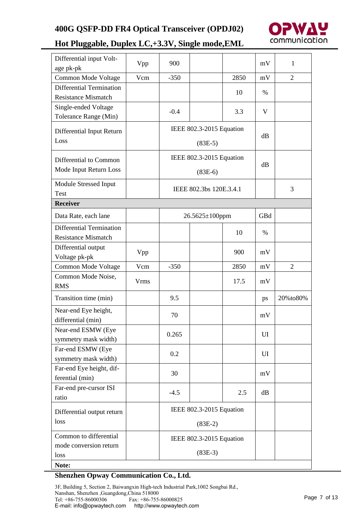

| Differential input Volt-<br>age pk-pk | Vpp  | 900                      |                          |      | mV   | $\mathbf{1}$ |
|---------------------------------------|------|--------------------------|--------------------------|------|------|--------------|
| Common Mode Voltage                   | Vcm  | $-350$                   |                          | 2850 | mV   | 2            |
| Differential Termination              |      |                          |                          |      |      |              |
| <b>Resistance Mismatch</b>            |      |                          |                          | 10   | $\%$ |              |
| Single-ended Voltage                  |      |                          |                          |      |      |              |
| Tolerance Range (Min)                 |      | $-0.4$                   |                          | 3.3  | V    |              |
|                                       |      |                          | IEEE 802.3-2015 Equation |      |      |              |
| Differential Input Return<br>Loss     |      |                          |                          |      | dB   |              |
|                                       |      |                          | $(83E-5)$                |      |      |              |
| Differential to Common                |      |                          | IEEE 802.3-2015 Equation |      |      |              |
| Mode Input Return Loss                |      |                          |                          |      | dB   |              |
|                                       |      |                          | $(83E-6)$                |      |      |              |
| Module Stressed Input                 |      |                          | IEEE 802.3bs 120E.3.4.1  |      |      | 3            |
| Test                                  |      |                          |                          |      |      |              |
| <b>Receiver</b>                       |      |                          |                          |      |      |              |
| Data Rate, each lane                  |      |                          | $26.5625 \pm 100$ ppm    |      | GBd  |              |
| <b>Differential Termination</b>       |      |                          |                          | 10   | $\%$ |              |
| <b>Resistance Mismatch</b>            |      |                          |                          |      |      |              |
| Differential output                   | Vpp  |                          |                          | 900  | mV   |              |
| Voltage pk-pk                         |      |                          |                          |      |      |              |
| Common Mode Voltage                   | Vcm  | $-350$                   |                          | 2850 | mV   | 2            |
| Common Mode Noise,                    | Vrms |                          |                          | 17.5 | mV   |              |
| <b>RMS</b>                            |      |                          |                          |      |      |              |
| Transition time (min)                 |      | 9.5                      |                          |      | ps   | 20%to80%     |
| Near-end Eye height,                  |      | 70                       |                          |      | mV   |              |
| differential (min)                    |      |                          |                          |      |      |              |
| Near-end ESMW (Eye                    |      | 0.265                    |                          |      | UI   |              |
| symmetry mask width)                  |      |                          |                          |      |      |              |
| Far-end ESMW (Eye                     |      | 0.2                      |                          |      | UI   |              |
| symmetry mask width)                  |      |                          |                          |      |      |              |
| Far-end Eye height, dif-              |      | 30                       |                          |      | mV   |              |
| ferential (min)                       |      |                          |                          |      |      |              |
| Far-end pre-cursor ISI                |      | $-4.5$                   |                          | 2.5  | dB   |              |
| ratio                                 |      |                          |                          |      |      |              |
| Differential output return            |      | IEEE 802.3-2015 Equation |                          |      |      |              |
| loss                                  |      | $(83E-2)$                |                          |      |      |              |
| Common to differential                |      | IEEE 802.3-2015 Equation |                          |      |      |              |
| mode conversion return                |      |                          |                          |      |      |              |
| loss                                  |      |                          | $(83E-3)$                |      |      |              |
| Note:                                 |      |                          |                          |      |      |              |

### **Shenzhen Opway Communication Co., Ltd.**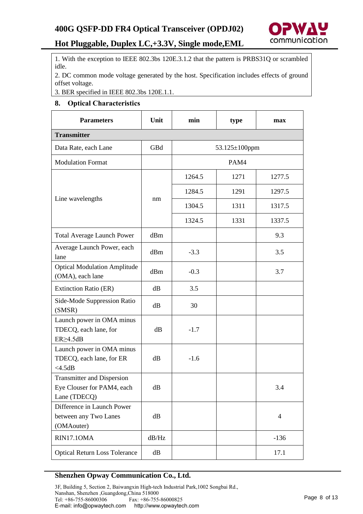

1. With the exception to IEEE 802.3bs 120E.3.1.2 that the pattern is PRBS31Q or scrambled idle.

2. DC common mode voltage generated by the host. Specification includes effects of ground offset voltage.

3. BER specified in IEEE 802.3bs 120E.1.1.

### **8. Optical Characteristics**

| <b>Parameters</b>                                                               | Unit  | min    | type                 | max            |
|---------------------------------------------------------------------------------|-------|--------|----------------------|----------------|
| <b>Transmitter</b>                                                              |       |        |                      |                |
| Data Rate, each Lane                                                            | GBd   |        | $53.125 \pm 100$ ppm |                |
| <b>Modulation Format</b>                                                        |       |        | PAM4                 |                |
|                                                                                 |       | 1264.5 | 1271                 | 1277.5         |
|                                                                                 |       | 1284.5 | 1291                 | 1297.5         |
| Line wavelengths                                                                | nm    | 1304.5 | 1311                 | 1317.5         |
|                                                                                 |       | 1324.5 | 1331                 | 1337.5         |
| <b>Total Average Launch Power</b>                                               | dBm   |        |                      | 9.3            |
| Average Launch Power, each<br>lane                                              | dBm   | $-3.3$ |                      | 3.5            |
| <b>Optical Modulation Amplitude</b><br>(OMA), each lane                         | dBm   | $-0.3$ |                      | 3.7            |
| Extinction Ratio (ER)                                                           | dB    | 3.5    |                      |                |
| Side-Mode Suppression Ratio<br>(SMSR)                                           | dB    | 30     |                      |                |
| Launch power in OMA minus<br>TDECQ, each lane, for<br>$ER \geq 4.5dB$           | dB    | $-1.7$ |                      |                |
| Launch power in OMA minus<br>TDECQ, each lane, for ER<br>$<$ 4.5dB              | dB    | $-1.6$ |                      |                |
| <b>Transmitter and Dispersion</b><br>Eye Clouser for PAM4, each<br>Lane (TDECQ) | dB    |        |                      | 3.4            |
| Difference in Launch Power<br>between any Two Lanes<br>(OMAouter)               | dB    |        |                      | $\overline{4}$ |
| RIN17.1OMA                                                                      | dB/Hz |        |                      | $-136$         |
| <b>Optical Return Loss Tolerance</b>                                            | dB    |        |                      | 17.1           |

### **Shenzhen Opway Communication Co., Ltd.**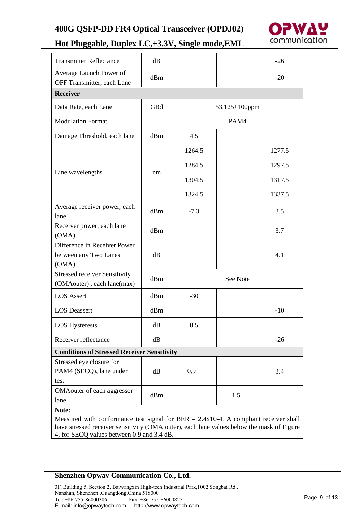

| <b>Transmitter Reflectance</b>                                      | dB  |        |                      | $-26$  |
|---------------------------------------------------------------------|-----|--------|----------------------|--------|
| Average Launch Power of<br>OFF Transmitter, each Lane               | dBm |        |                      | $-20$  |
| <b>Receiver</b>                                                     |     |        |                      |        |
| Data Rate, each Lane                                                | GBd |        | $53.125 \pm 100$ ppm |        |
| <b>Modulation Format</b>                                            |     |        | PAM4                 |        |
| Damage Threshold, each lane                                         | dBm | 4.5    |                      |        |
|                                                                     |     | 1264.5 |                      | 1277.5 |
|                                                                     |     | 1284.5 |                      | 1297.5 |
| Line wavelengths                                                    | nm  | 1304.5 |                      | 1317.5 |
|                                                                     |     | 1324.5 |                      | 1337.5 |
| Average receiver power, each<br>lane                                | dBm | $-7.3$ |                      | 3.5    |
| Receiver power, each lane<br>(OMA)                                  | dBm |        |                      | 3.7    |
| Difference in Receiver Power<br>between any Two Lanes<br>(OMA)      | dB  |        |                      | 4.1    |
| <b>Stressed receiver Sensitivity</b><br>(OMA outer), each lane(max) | dBm |        | See Note             |        |
| <b>LOS</b> Assert                                                   | dBm | $-30$  |                      |        |
| <b>LOS Deassert</b>                                                 | dBm |        |                      | $-10$  |
| LOS Hysteresis                                                      | dB  | 0.5    |                      |        |
| Receiver reflectance                                                | dB  |        |                      | $-26$  |
| <b>Conditions of Stressed Receiver Sensitivity</b>                  |     |        |                      |        |
| Stressed eye closure for<br>PAM4 (SECQ), lane under<br>test         | dB  | 0.9    |                      | 3.4    |
| OMAouter of each aggressor<br>lane                                  | dBm |        | 1.5                  |        |
| Note:                                                               |     |        |                      |        |

Measured with conformance test signal for  $BER = 2.4x10-4$ . A compliant receiver shall have stressed receiver sensitivity (OMA outer), each lane values below the mask of Figure 4, for SECQ values between 0.9 and 3.4 dB.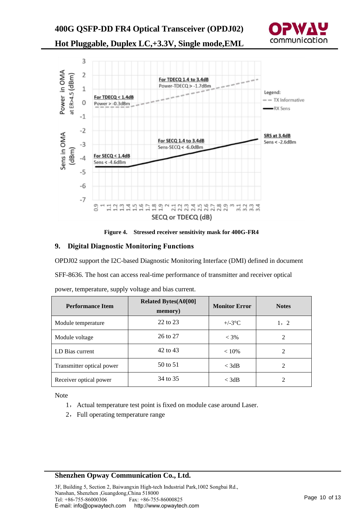



**Figure 4. Stressed receiver sensitivity mask for 400G-FR4**

#### **9. Digital Diagnostic Monitoring Functions**

OPDJ02 support the I2C-based Diagnostic Monitoring Interface (DMI) defined in document

SFF-8636. The host can access real-time performance of transmitter and receiver optical

| <b>Performance Item</b>   | <b>Related Bytes(A0[00]</b><br>memory) | <b>Monitor Error</b> | <b>Notes</b>   |
|---------------------------|----------------------------------------|----------------------|----------------|
| Module temperature        | 22 to 23                               | $+/-3$ °C            | 1, 2           |
| Module voltage            | 26 to 27                               | $< 3\%$              | 2              |
| LD Bias current           | 42 to 43                               | $< 10\%$             | 2              |
| Transmitter optical power | 50 to 51                               | $<$ 3dB              | $\mathfrak{D}$ |
| Receiver optical power    | 34 to 35                               | $<$ 3dB              | 2              |

power, temperature, supply voltage and bias current.

Note

- 1, Actual temperature test point is fixed on module case around Laser.
- 2, Full operating temperature range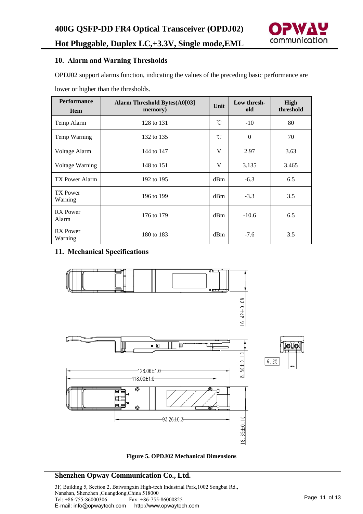

#### **10. Alarm and Warning Thresholds**

OPDJ02 support alarms function, indicating the values of the preceding basic performance are

lower or higher than the thresholds.

| <b>Performance</b><br><b>Item</b> | <b>Alarm Threshold Bytes(A0[03]</b><br>memory) | Unit         | Low thresh-<br>old | High<br>threshold |
|-----------------------------------|------------------------------------------------|--------------|--------------------|-------------------|
| Temp Alarm                        | 128 to 131                                     | $^{\circ}$ C | $-10$              | 80                |
| Temp Warning                      | 132 to 135                                     | °C           | $\Omega$           | 70                |
| Voltage Alarm                     | 144 to 147                                     | V            | 2.97               | 3.63              |
| <b>Voltage Warning</b>            | 148 to 151                                     | V            | 3.135              | 3.465             |
| TX Power Alarm                    | 192 to 195                                     | dBm          | $-6.3$             | 6.5               |
| <b>TX Power</b><br>Warning        | 196 to 199                                     | dBm          | $-3.3$             | 3.5               |
| <b>RX</b> Power<br>Alarm          | 176 to 179                                     | dBm          | $-10.6$            | 6.5               |
| <b>RX</b> Power<br>Warning        | 180 to 183                                     | dBm          | $-7.6$             | 3.5               |

### **11. Mechanical Specifications**



**Figure 5. OPDJ02 Mechanical Dimensions**

### **Shenzhen Opway Communication Co., Ltd.**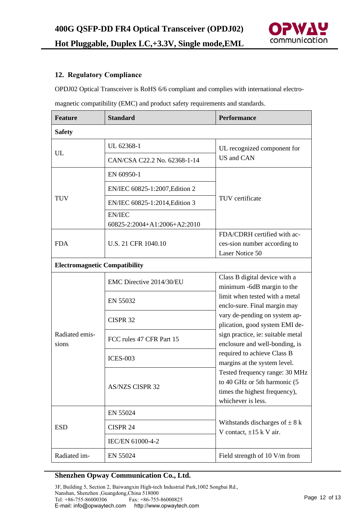

### **12. Regulatory Compliance**

OPDJ02 Optical Transceiver is RoHS 6/6 compliant and complies with international electro-

magnetic compatibility (EMC) and product safety requirements and standards.

| <b>Feature</b>                       | <b>Standard</b>                               | <b>Performance</b>                                                                                                                                                                                    |  |  |  |
|--------------------------------------|-----------------------------------------------|-------------------------------------------------------------------------------------------------------------------------------------------------------------------------------------------------------|--|--|--|
| <b>Safety</b>                        |                                               |                                                                                                                                                                                                       |  |  |  |
| UL                                   | UL 62368-1                                    | UL recognized component for<br>US and CAN                                                                                                                                                             |  |  |  |
|                                      | CAN/CSA C22.2 No. 62368-1-14                  |                                                                                                                                                                                                       |  |  |  |
| <b>TUV</b>                           | EN 60950-1                                    |                                                                                                                                                                                                       |  |  |  |
|                                      | EN/IEC 60825-1:2007, Edition 2                |                                                                                                                                                                                                       |  |  |  |
|                                      | EN/IEC 60825-1:2014, Edition 3                | TUV certificate                                                                                                                                                                                       |  |  |  |
|                                      | <b>EN/IEC</b><br>60825-2:2004+A1:2006+A2:2010 |                                                                                                                                                                                                       |  |  |  |
| <b>FDA</b>                           | U.S. 21 CFR 1040.10                           | FDA/CDRH certified with ac-<br>ces-sion number according to<br>Laser Notice 50                                                                                                                        |  |  |  |
| <b>Electromagnetic Compatibility</b> |                                               |                                                                                                                                                                                                       |  |  |  |
| Radiated emis-<br>sions              | EMC Directive 2014/30/EU                      | Class B digital device with a<br>minimum -6dB margin to the<br>limit when tested with a metal<br>enclo-sure. Final margin may                                                                         |  |  |  |
|                                      | EN 55032                                      |                                                                                                                                                                                                       |  |  |  |
|                                      | CISPR <sub>32</sub>                           | vary de-pending on system ap-<br>plication, good system EMI de-<br>sign practice, ie: suitable metal<br>enclosure and well-bonding, is<br>required to achieve Class B<br>margins at the system level. |  |  |  |
|                                      | FCC rules 47 CFR Part 15                      |                                                                                                                                                                                                       |  |  |  |
|                                      | <b>ICES-003</b>                               |                                                                                                                                                                                                       |  |  |  |
|                                      | <b>AS/NZS CISPR 32</b>                        | Tested frequency range: 30 MHz<br>to 40 GHz or 5th harmonic (5<br>times the highest frequency),<br>whichever is less.                                                                                 |  |  |  |
| <b>ESD</b>                           | EN 55024                                      |                                                                                                                                                                                                       |  |  |  |
|                                      | CISPR 24                                      | Withstands discharges of $\pm$ 8 k<br>V contact, $\pm 15$ k V air.                                                                                                                                    |  |  |  |
|                                      | IEC/EN 61000-4-2                              |                                                                                                                                                                                                       |  |  |  |
| Radiated im-                         | EN 55024                                      | Field strength of 10 V/m from                                                                                                                                                                         |  |  |  |

### **Shenzhen Opway Communication Co., Ltd.**